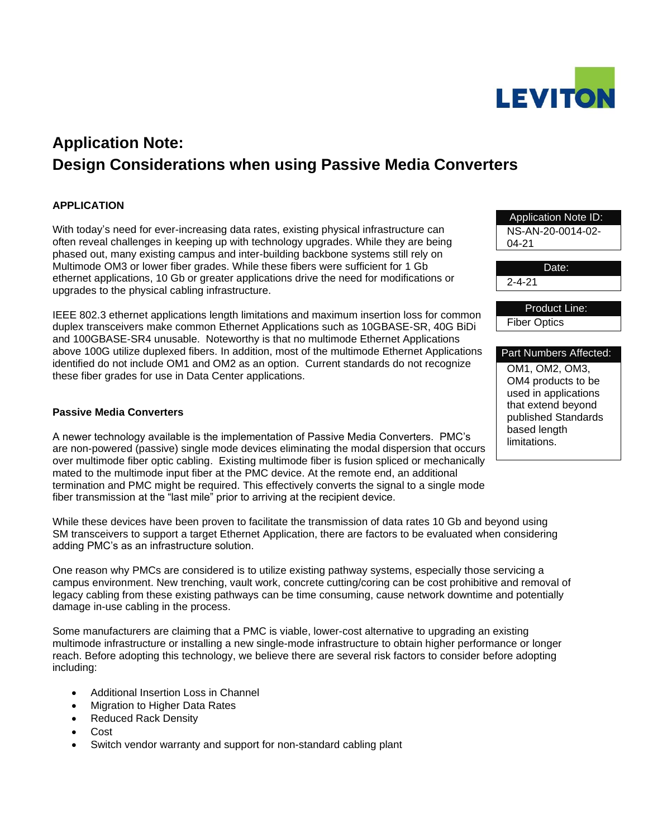

# **Application Note: Design Considerations when using Passive Media Converters**

# **APPLICATION**

With today's need for ever-increasing data rates, existing physical infrastructure can often reveal challenges in keeping up with technology upgrades. While they are being phased out, many existing campus and inter-building backbone systems still rely on Multimode OM3 or lower fiber grades. While these fibers were sufficient for 1 Gb ethernet applications, 10 Gb or greater applications drive the need for modifications or upgrades to the physical cabling infrastructure.

IEEE 802.3 ethernet applications length limitations and maximum insertion loss for common duplex transceivers make common Ethernet Applications such as 10GBASE-SR, 40G BiDi and 100GBASE-SR4 unusable. Noteworthy is that no multimode Ethernet Applications above 100G utilize duplexed fibers. In addition, most of the multimode Ethernet Applications identified do not include OM1 and OM2 as an option. Current standards do not recognize these fiber grades for use in Data Center applications.

# **Passive Media Converters**

A newer technology available is the implementation of Passive Media Converters. PMC's are non-powered (passive) single mode devices eliminating the modal dispersion that occurs over multimode fiber optic cabling. Existing multimode fiber is fusion spliced or mechanically mated to the multimode input fiber at the PMC device. At the remote end, an additional termination and PMC might be required. This effectively converts the signal to a single mode fiber transmission at the "last mile" prior to arriving at the recipient device.

While these devices have been proven to facilitate the transmission of data rates 10 Gb and beyond using SM transceivers to support a target Ethernet Application, there are factors to be evaluated when considering adding PMC's as an infrastructure solution.

One reason why PMCs are considered is to utilize existing pathway systems, especially those servicing a campus environment. New trenching, vault work, concrete cutting/coring can be cost prohibitive and removal of legacy cabling from these existing pathways can be time consuming, cause network downtime and potentially damage in-use cabling in the process.

Some manufacturers are claiming that a PMC is viable, lower-cost alternative to upgrading an existing multimode infrastructure or installing a new single-mode infrastructure to obtain higher performance or longer reach. Before adopting this technology, we believe there are several risk factors to consider before adopting including:

- Additional Insertion Loss in Channel
- Migration to Higher Data Rates
- Reduced Rack Density
- Cost
- Switch vendor warranty and support for non-standard cabling plant

Application Note ID: NS-AN-20-0014-02- 04-21 Date: 2-4-21 Product Line: Fiber Optics Part Numbers Affected: OM1, OM2, OM3, OM4 products to be used in applications that extend beyond published Standards based length

limitations.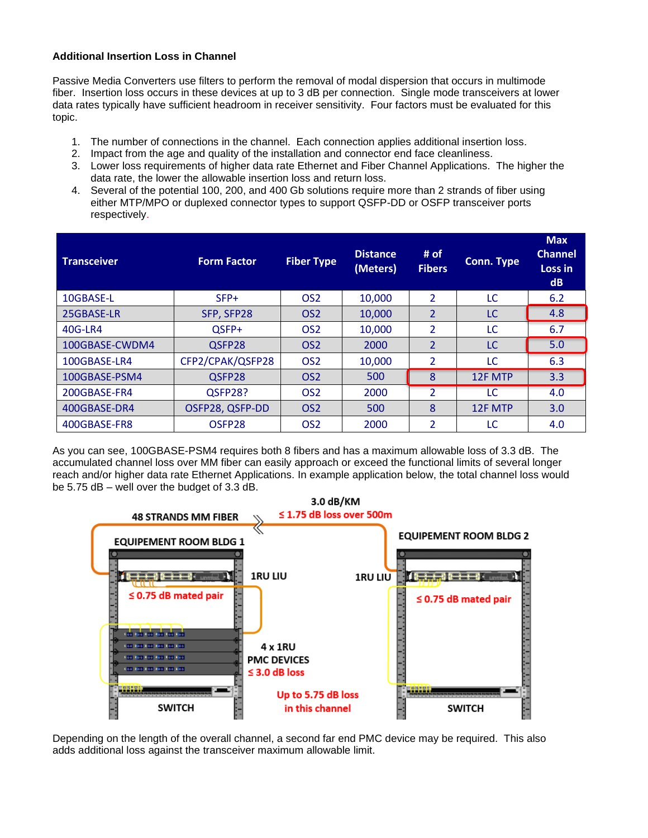## **Additional Insertion Loss in Channel**

Passive Media Converters use filters to perform the removal of modal dispersion that occurs in multimode fiber. Insertion loss occurs in these devices at up to 3 dB per connection. Single mode transceivers at lower data rates typically have sufficient headroom in receiver sensitivity. Four factors must be evaluated for this topic.

- 1. The number of connections in the channel. Each connection applies additional insertion loss.
- 2. Impact from the age and quality of the installation and connector end face cleanliness.
- 3. Lower loss requirements of higher data rate Ethernet and Fiber Channel Applications. The higher the data rate, the lower the allowable insertion loss and return loss.
- 4. Several of the potential 100, 200, and 400 Gb solutions require more than 2 strands of fiber using either MTP/MPO or duplexed connector types to support QSFP-DD or OSFP transceiver ports respectively.

| <b>Transceiver</b> | <b>Form Factor</b> | <b>Fiber Type</b> | <b>Distance</b><br>(Meters) | # of<br><b>Fibers</b>    | Conn. Type | <b>Max</b><br><b>Channel</b><br>Loss in<br>dB |
|--------------------|--------------------|-------------------|-----------------------------|--------------------------|------------|-----------------------------------------------|
| 10GBASE-L          | $SFP+$             | OS <sub>2</sub>   | 10,000                      | $\overline{2}$           | LC         | 6.2                                           |
| 25GBASE-LR         | SFP, SFP28         | OS <sub>2</sub>   | 10,000                      | $\mathcal{P}$            | LC         | 4.8                                           |
| 40G-LR4            | OSFP+              | OS <sub>2</sub>   | 10,000                      | $\overline{\mathcal{L}}$ | LC         | 6.7                                           |
| 100GBASE-CWDM4     | QSFP28             | OS <sub>2</sub>   | 2000                        | $\overline{2}$           | LC         | 5.0                                           |
| 100GBASE-LR4       | CFP2/CPAK/QSFP28   | OS <sub>2</sub>   | 10,000                      | 2                        | LC         | 6.3                                           |
| 100GBASE-PSM4      | QSFP28             | OS <sub>2</sub>   | 500                         | 8                        | 12F MTP    | 3.3                                           |
| 200GBASE-FR4       | QSFP28?            | OS <sub>2</sub>   | 2000                        | $\overline{2}$           | LC         | 4.0                                           |
| 400GBASE-DR4       | OSFP28, QSFP-DD    | OS <sub>2</sub>   | 500                         | 8                        | 12F MTP    | 3.0                                           |
| 400GBASE-FR8       | OSFP <sub>28</sub> | OS <sub>2</sub>   | 2000                        | 2                        | LC         | 4.0                                           |

As you can see, 100GBASE-PSM4 requires both 8 fibers and has a maximum allowable loss of 3.3 dB. The accumulated channel loss over MM fiber can easily approach or exceed the functional limits of several longer reach and/or higher data rate Ethernet Applications. In example application below, the total channel loss would be 5.75 dB – well over the budget of 3.3 dB.



Depending on the length of the overall channel, a second far end PMC device may be required. This also adds additional loss against the transceiver maximum allowable limit.